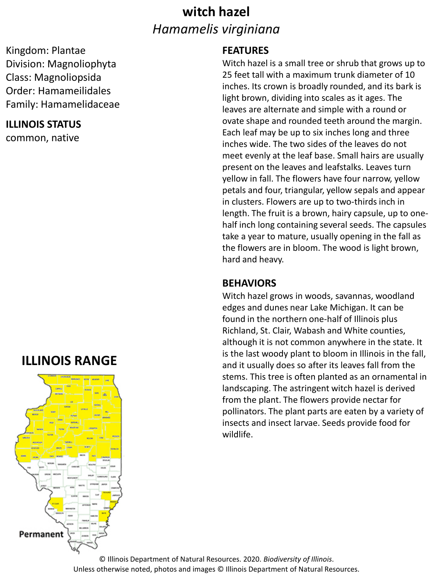## **witch hazel** *Hamamelis virginiana*

#### Kingdom: Plantae Division: Magnoliophyta Class: Magnoliopsida Order: Hamameilidales Family: Hamamelidaceae

#### **ILLINOIS STATUS**

common, native

### **ILLINOIS RANGE**



#### **FEATURES**

Witch hazel is a small tree or shrub that grows up to 25 feet tall with a maximum trunk diameter of 10 inches. Its crown is broadly rounded, and its bark is light brown, dividing into scales as it ages. The leaves are alternate and simple with a round or ovate shape and rounded teeth around the margin. Each leaf may be up to six inches long and three inches wide. The two sides of the leaves do not meet evenly at the leaf base. Small hairs are usually present on the leaves and leafstalks. Leaves turn yellow in fall. The flowers have four narrow, yellow petals and four, triangular, yellow sepals and appear in clusters. Flowers are up to two-thirds inch in length. The fruit is a brown, hairy capsule, up to onehalf inch long containing several seeds. The capsules take a year to mature, usually opening in the fall as the flowers are in bloom. The wood is light brown, hard and heavy.

#### **BEHAVIORS**

Witch hazel grows in woods, savannas, woodland edges and dunes near Lake Michigan. It can be found in the northern one-half of Illinois plus Richland, St. Clair, Wabash and White counties, although it is not common anywhere in the state. It is the last woody plant to bloom in Illinois in the fall, and it usually does so after its leaves fall from the stems. This tree is often planted as an ornamental in landscaping. The astringent witch hazel is derived from the plant. The flowers provide nectar for pollinators. The plant parts are eaten by a variety of insects and insect larvae. Seeds provide food for wildlife.

© Illinois Department of Natural Resources. 2020. *Biodiversity of Illinois*. Unless otherwise noted, photos and images © Illinois Department of Natural Resources.